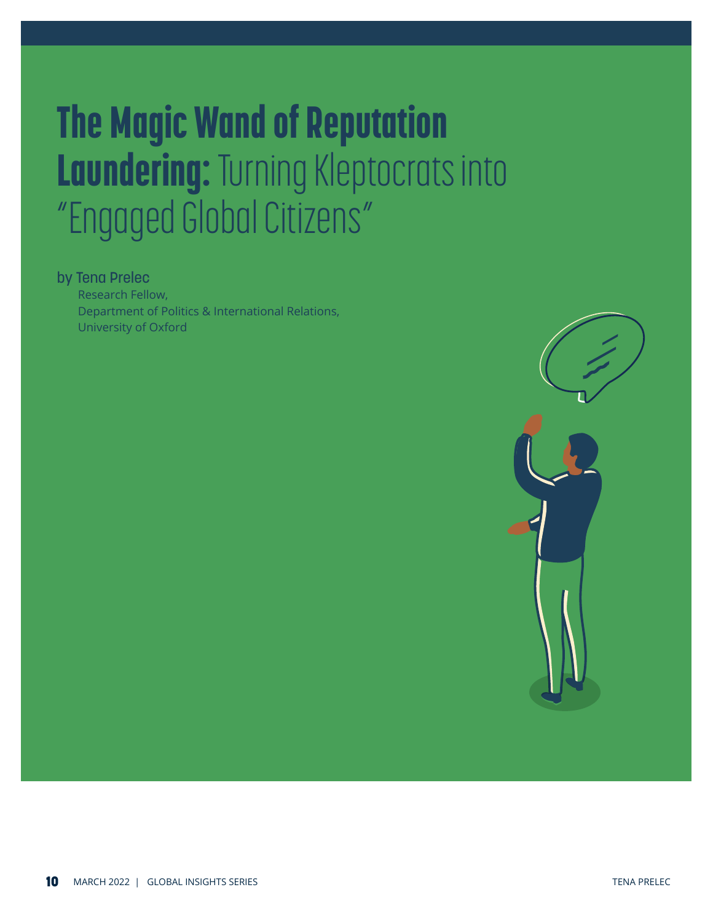# The Magic Wand of Reputation Laundering: Turning Kleptocrats into "Engaged Global Citizens"

### by Tena Prelec

Research Fellow, Department of Politics & International Relations, University of Oxford

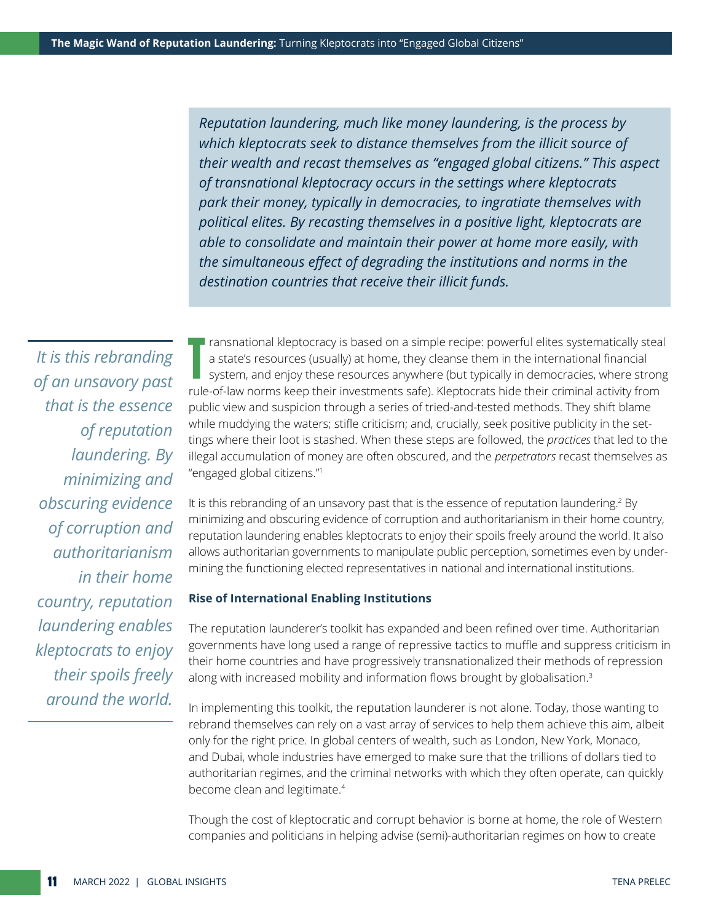*Reputation laundering, much like money laundering, is the process by which kleptocrats seek to distance themselves from the illicit source of their wealth and recast themselves as "engaged global citizens." This aspect of transnational kleptocracy occurs in the settings where kleptocrats park their money, typically in democracies, to ingratiate themselves with political elites. By recasting themselves in a positive light, kleptocrats are able to consolidate and maintain their power at home more easily, with the simultaneous effect of degrading the institutions and norms in the destination countries that receive their illicit funds.*

*It is this rebranding of an unsavory past that is the essence of reputation laundering. By minimizing and obscuring evidence of corruption and authoritarianism in their home country, reputation laundering enables kleptocrats to enjoy their spoils freely around the world.*

T I ransnational kleptocracy is based on a simple recipe: powerful elites systematically steal a state's resources (usually) at home, they cleanse them in the international financial system, and enjoy these resources anywhere (but typically in democracies, where strong rule-of-law norms keep their investments safe). Kleptocrats hide their criminal activity from public view and suspicion through a series of tried-and-tested methods. They shift blame while muddying the waters; stifle criticism; and, crucially, seek positive publicity in the settings where their loot is stashed. When these steps are followed, the *practices* that led to the illegal accumulation of money are often obscured, and the *perpetrators* recast themselves as "engaged global citizens."1

It is this rebranding of an unsavory past that is the essence of reputation laundering.<sup>2</sup> By minimizing and obscuring evidence of corruption and authoritarianism in their home country, reputation laundering enables kleptocrats to enjoy their spoils freely around the world. It also allows authoritarian governments to manipulate public perception, sometimes even by undermining the functioning elected representatives in national and international institutions.

#### **Rise of International Enabling Institutions**

The reputation launderer's toolkit has expanded and been refined over time. Authoritarian governments have long used a range of repressive tactics to muffle and suppress criticism in their home countries and have progressively transnationalized their methods of repression along with increased mobility and information flows brought by globalisation.<sup>3</sup>

In implementing this toolkit, the reputation launderer is not alone. Today, those wanting to rebrand themselves can rely on a vast array of services to help them achieve this aim, albeit only for the right price. In global centers of wealth, such as London, New York, Monaco, and Dubai, whole industries have emerged to make sure that the trillions of dollars tied to authoritarian regimes, and the criminal networks with which they often operate, can quickly become clean and legitimate.4

Though the cost of kleptocratic and corrupt behavior is borne at home, the role of Western companies and politicians in helping advise (semi)-authoritarian regimes on how to create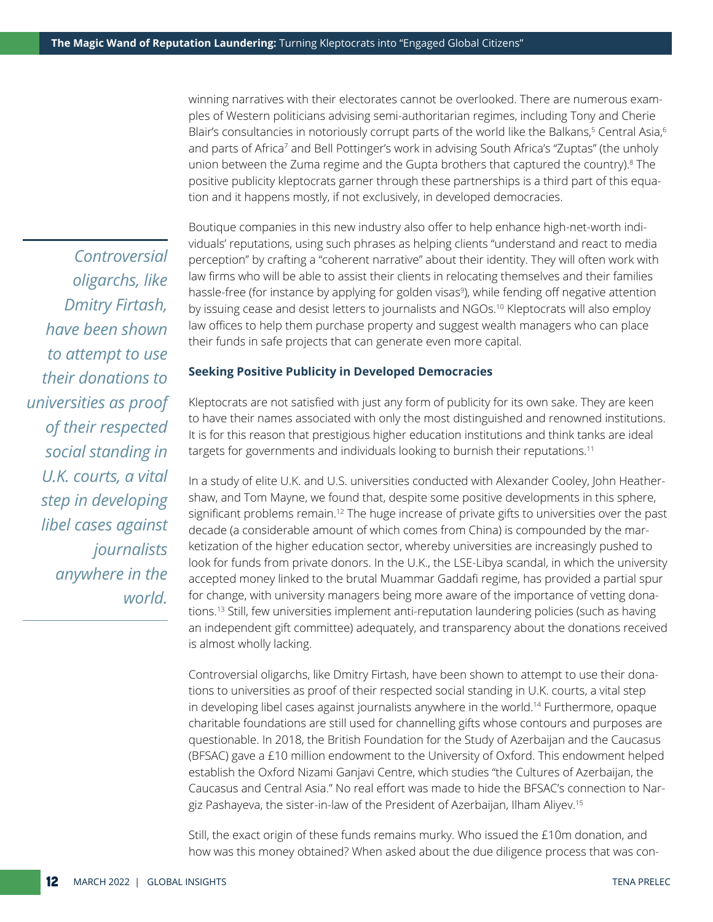winning narratives with their electorates cannot be overlooked. There are numerous examples of Western politicians advising semi-authoritarian regimes, including Tony and Cherie Blair's consultancies in notoriously corrupt parts of the world like the Balkans,<sup>5</sup> Central Asia,<sup>6</sup> and parts of Africa<sup>7</sup> and Bell Pottinger's work in advising South Africa's "Zuptas" (the unholy union between the Zuma regime and the Gupta brothers that captured the country).<sup>8</sup> The positive publicity kleptocrats garner through these partnerships is a third part of this equation and it happens mostly, if not exclusively, in developed democracies.

*Controversial oligarchs, like Dmitry Firtash, have been shown to attempt to use their donations to universities as proof of their respected social standing in U.K. courts, a vital step in developing libel cases against journalists anywhere in the world.*

Boutique companies in this new industry also offer to help enhance high-net-worth individuals' reputations, using such phrases as helping clients "understand and react to media perception" by crafting a "coherent narrative" about their identity. They will often work with law firms who will be able to assist their clients in relocating themselves and their families hassle-free (for instance by applying for golden visas<sup>9</sup>), while fending off negative attention by issuing cease and desist letters to journalists and NGOs.10 Kleptocrats will also employ law offices to help them purchase property and suggest wealth managers who can place their funds in safe projects that can generate even more capital.

#### **Seeking Positive Publicity in Developed Democracies**

Kleptocrats are not satisfied with just any form of publicity for its own sake. They are keen to have their names associated with only the most distinguished and renowned institutions. It is for this reason that prestigious higher education institutions and think tanks are ideal targets for governments and individuals looking to burnish their reputations.<sup>11</sup>

In a study of elite U.K. and U.S. universities conducted with Alexander Cooley, John Heathershaw, and Tom Mayne, we found that, despite some positive developments in this sphere, significant problems remain.<sup>12</sup> The huge increase of private gifts to universities over the past decade (a considerable amount of which comes from China) is compounded by the marketization of the higher education sector, whereby universities are increasingly pushed to look for funds from private donors. In the U.K., the LSE-Libya scandal, in which the university accepted money linked to the brutal Muammar Gaddafi regime, has provided a partial spur for change, with university managers being more aware of the importance of vetting donations.13 Still, few universities implement anti-reputation laundering policies (such as having an independent gift committee) adequately, and transparency about the donations received is almost wholly lacking.

Controversial oligarchs, like Dmitry Firtash, have been shown to attempt to use their donations to universities as proof of their respected social standing in U.K. courts, a vital step in developing libel cases against journalists anywhere in the world.<sup>14</sup> Furthermore, opaque charitable foundations are still used for channelling gifts whose contours and purposes are questionable. In 2018, the British Foundation for the Study of Azerbaijan and the Caucasus (BFSAC) gave a £10 million endowment to the University of Oxford. This endowment helped establish the Oxford Nizami Ganjavi Centre, which studies "the Cultures of Azerbaijan, the Caucasus and Central Asia." No real effort was made to hide the BFSAC's connection to Nargiz Pashayeva, the sister-in-law of the President of Azerbaijan, Ilham Aliyev.15

Still, the exact origin of these funds remains murky. Who issued the £10m donation, and how was this money obtained? When asked about the due diligence process that was con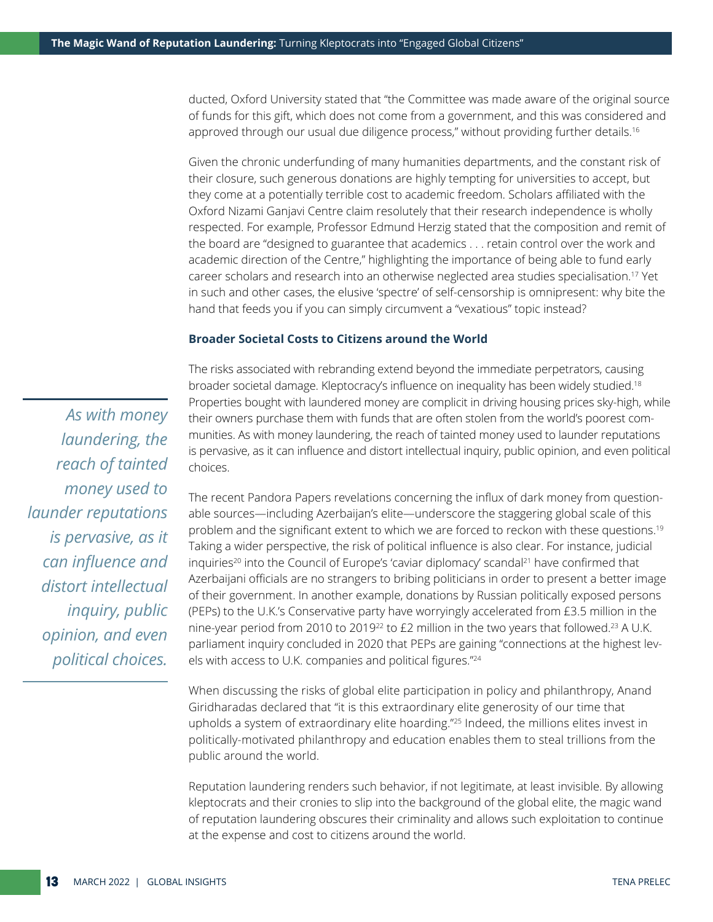ducted, Oxford University stated that "the Committee was made aware of the original source of funds for this gift, which does not come from a government, and this was considered and approved through our usual due diligence process," without providing further details.<sup>16</sup>

Given the chronic underfunding of many humanities departments, and the constant risk of their closure, such generous donations are highly tempting for universities to accept, but they come at a potentially terrible cost to academic freedom. Scholars affiliated with the Oxford Nizami Ganjavi Centre claim resolutely that their research independence is wholly respected. For example, Professor Edmund Herzig stated that the composition and remit of the board are "designed to guarantee that academics . . . retain control over the work and academic direction of the Centre," highlighting the importance of being able to fund early career scholars and research into an otherwise neglected area studies specialisation.17 Yet in such and other cases, the elusive 'spectre' of self-censorship is omnipresent: why bite the hand that feeds you if you can simply circumvent a "vexatious" topic instead?

#### **Broader Societal Costs to Citizens around the World**

*As with money laundering, the reach of tainted money used to launder reputations is pervasive, as it can influence and distort intellectual inquiry, public opinion, and even political choices.* 

The risks associated with rebranding extend beyond the immediate perpetrators, causing broader societal damage. Kleptocracy's influence on inequality has been widely studied.18 Properties bought with laundered money are complicit in driving housing prices sky-high, while their owners purchase them with funds that are often stolen from the world's poorest communities. As with money laundering, the reach of tainted money used to launder reputations is pervasive, as it can influence and distort intellectual inquiry, public opinion, and even political choices.

The recent Pandora Papers revelations concerning the influx of dark money from questionable sources—including Azerbaijan's elite—underscore the staggering global scale of this problem and the significant extent to which we are forced to reckon with these questions.19 Taking a wider perspective, the risk of political influence is also clear. For instance, judicial inquiries<sup>20</sup> into the Council of Europe's 'caviar diplomacy' scandal<sup>21</sup> have confirmed that Azerbaijani officials are no strangers to bribing politicians in order to present a better image of their government. In another example, donations by Russian politically exposed persons (PEPs) to the U.K.'s Conservative party have worryingly accelerated from £3.5 million in the nine-year period from 2010 to 2019<sup>22</sup> to £2 million in the two years that followed.<sup>23</sup> A U.K. parliament inquiry concluded in 2020 that PEPs are gaining "connections at the highest levels with access to U.K. companies and political figures."24

When discussing the risks of global elite participation in policy and philanthropy, Anand Giridharadas declared that "it is this extraordinary elite generosity of our time that upholds a system of extraordinary elite hoarding."25 Indeed, the millions elites invest in politically-motivated philanthropy and education enables them to steal trillions from the public around the world.

Reputation laundering renders such behavior, if not legitimate, at least invisible. By allowing kleptocrats and their cronies to slip into the background of the global elite, the magic wand of reputation laundering obscures their criminality and allows such exploitation to continue at the expense and cost to citizens around the world.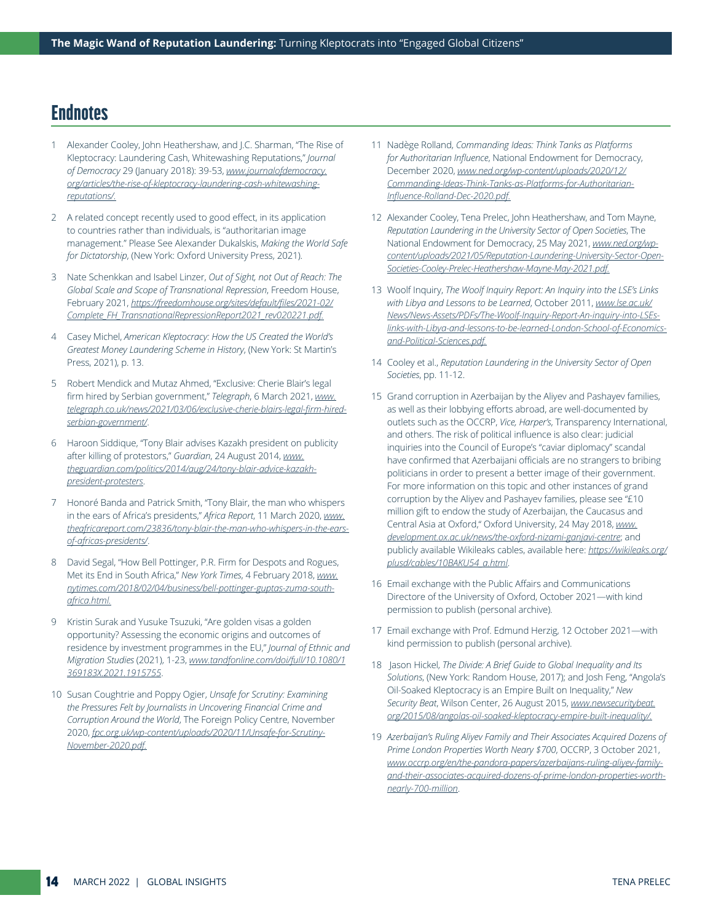## **Endnotes**

- 1 Alexander Cooley, John Heathershaw, and J.C. Sharman, "The Rise of Kleptocracy: Laundering Cash, Whitewashing Reputations," *Journal of Democracy* 29 (January 2018): 39-53, *[www.journalofdemocracy.](https://www.journalofdemocracy.org/articles/the-rise-of-kleptocracy-laundering-cash-whitewashing-reputations/) [org/articles/the-rise-of-kleptocracy-laundering-cash-whitewashing](https://www.journalofdemocracy.org/articles/the-rise-of-kleptocracy-laundering-cash-whitewashing-reputations/)[reputations/](https://www.journalofdemocracy.org/articles/the-rise-of-kleptocracy-laundering-cash-whitewashing-reputations/).*
- 2 A related concept recently used to good effect, in its application to countries rather than individuals, is "authoritarian image management." Please See Alexander Dukalskis, *Making the World Safe for Dictatorship*, (New York: Oxford University Press, 2021).
- 3 Nate Schenkkan and Isabel Linzer, *Out of Sight, not Out of Reach: The Global Scale and Scope of Transnational Repression*, Freedom House, February 2021, *[https://freedomhouse.org/sites/default/files/2021-02/](https://freedomhouse.org/sites/default/files/2021-02/Complete_FH_TransnationalRepressionReport2021_rev020221.pdf) [Complete\\_FH\\_TransnationalRepressionReport2021\\_rev020221.pdf](https://freedomhouse.org/sites/default/files/2021-02/Complete_FH_TransnationalRepressionReport2021_rev020221.pdf).*
- 4 Casey Michel, *American Kleptocracy: How the US Created the World's Greatest Money Laundering Scheme in History*, (New York: St Martin's Press, 2021), p. 13.
- 5 Robert Mendick and Mutaz Ahmed, "Exclusive: Cherie Blair's legal firm hired by Serbian government," *Telegraph*, 6 March 2021, *[www.](https://www.telegraph.co.uk/news/2021/03/06/exclusive-cherie-blairs-legal-firm-hired-serbian-government/) [telegraph.co.uk/news/2021/03/06/exclusive-cherie-blairs-legal-firm-hired](https://www.telegraph.co.uk/news/2021/03/06/exclusive-cherie-blairs-legal-firm-hired-serbian-government/)[serbian-government/](https://www.telegraph.co.uk/news/2021/03/06/exclusive-cherie-blairs-legal-firm-hired-serbian-government/)*.
- 6 Haroon Siddique, "Tony Blair advises Kazakh president on publicity after killing of protestors," *Guardian*, 24 August 2014, *[www.](https://www.theguardian.com/politics/2014/aug/24/tony-blair-advice-kazakh-president-protesters) [theguardian.com/politics/2014/aug/24/tony-blair-advice-kazakh](https://www.theguardian.com/politics/2014/aug/24/tony-blair-advice-kazakh-president-protesters)[president-protesters](https://www.theguardian.com/politics/2014/aug/24/tony-blair-advice-kazakh-president-protesters)*.
- 7 Honoré Banda and Patrick Smith, "Tony Blair, the man who whispers in the ears of Africa's presidents," *Africa Report*, 11 March 2020, *[www.](https://www.theafricareport.com/23836/tony-blair-the-man-who-whispers-in-the-ears-of-africas-presidents/) [theafricareport.com/23836/tony-blair-the-man-who-whispers-in-the-ears](https://www.theafricareport.com/23836/tony-blair-the-man-who-whispers-in-the-ears-of-africas-presidents/)[of-africas-presidents/](https://www.theafricareport.com/23836/tony-blair-the-man-who-whispers-in-the-ears-of-africas-presidents/)*.
- 8 David Segal, "How Bell Pottinger, P.R. Firm for Despots and Rogues, Met its End in South Africa," *New York Times*, 4 February 2018, *[www.](https://www.nytimes.com/2018/02/04/business/bell-pottinger-guptas-zuma-south-africa.html) [nytimes.com/2018/02/04/business/bell-pottinger-guptas-zuma-south](https://www.nytimes.com/2018/02/04/business/bell-pottinger-guptas-zuma-south-africa.html)[africa.html.](https://www.nytimes.com/2018/02/04/business/bell-pottinger-guptas-zuma-south-africa.html)*
- 9 Kristin Surak and Yusuke Tsuzuki, "Are golden visas a golden opportunity? Assessing the economic origins and outcomes of residence by investment programmes in the EU," *Journal of Ethnic and Migration Studies* (2021), 1-23, *[www.tandfonline.com/doi/full/10.1080/1](https://www.tandfonline.com/doi/full/10.1080/1369183X.2021.1915755) [369183X.2021.1915755](https://www.tandfonline.com/doi/full/10.1080/1369183X.2021.1915755)*.
- 10 Susan Coughtrie and Poppy Ogier, *Unsafe for Scrutiny: Examining the Pressures Felt by Journalists in Uncovering Financial Crime and Corruption Around the World*, The Foreign Policy Centre, November 2020, *[fpc.org.uk/wp-content/uploads/2020/11/Unsafe-for-Scrutiny-](https://fpc.org.uk/wp-content/uploads/2020/11/Unsafe-for-Scrutiny-November-2020.pdf)[November-2020.pdf](https://fpc.org.uk/wp-content/uploads/2020/11/Unsafe-for-Scrutiny-November-2020.pdf).*
- 11 Nadège Rolland, *Commanding Ideas: Think Tanks as Platforms for Authoritarian Influence*, National Endowment for Democracy, December 2020, *[www.ned.org/wp-content/uploads/2020/12/](https://www.ned.org/wp-content/uploads/2020/12/Commanding-Ideas-Think-Tanks-as-Platforms-for-Authoritarian-Influence-Rolland-Dec-2020.pdf) [Commanding-Ideas-Think-Tanks-as-Platforms-for-Authoritarian-](https://www.ned.org/wp-content/uploads/2020/12/Commanding-Ideas-Think-Tanks-as-Platforms-for-Authoritarian-Influence-Rolland-Dec-2020.pdf)[Influence-Rolland-Dec-2020.pdf.](https://www.ned.org/wp-content/uploads/2020/12/Commanding-Ideas-Think-Tanks-as-Platforms-for-Authoritarian-Influence-Rolland-Dec-2020.pdf)*
- 12 Alexander Cooley, Tena Prelec, John Heathershaw, and Tom Mayne, *Reputation Laundering in the University Sector of Open Societies*, The National Endowment for Democracy, 25 May 2021, *[www.ned.org/wp](https://www.ned.org/wp-content/uploads/2021/05/Reputation-Laundering-University-Sector-Open-Societies-Cooley-Prelec-Heathershaw-Mayne-May-2021.pdf)[content/uploads/2021/05/Reputation-Laundering-University-Sector-Open-](https://www.ned.org/wp-content/uploads/2021/05/Reputation-Laundering-University-Sector-Open-Societies-Cooley-Prelec-Heathershaw-Mayne-May-2021.pdf)[Societies-Cooley-Prelec-Heathershaw-Mayne-May-2021.pdf.](https://www.ned.org/wp-content/uploads/2021/05/Reputation-Laundering-University-Sector-Open-Societies-Cooley-Prelec-Heathershaw-Mayne-May-2021.pdf)*
- 13 Woolf Inquiry, *The Woolf Inquiry Report: An Inquiry into the LSE's Links with Libya and Lessons to be Learned*, October 2011, *[www.lse.ac.uk/](https://www.lse.ac.uk/News/News-Assets/PDFs/The-Woolf-Inquiry-Report-An-inquiry-into-LSEs-links-with-Libya-and-lessons-to-be-learned-London-School-of-Economics-and-Political-Sciences.pdf) [News/News-Assets/PDFs/The-Woolf-Inquiry-Report-An-inquiry-into-LSEs](https://www.lse.ac.uk/News/News-Assets/PDFs/The-Woolf-Inquiry-Report-An-inquiry-into-LSEs-links-with-Libya-and-lessons-to-be-learned-London-School-of-Economics-and-Political-Sciences.pdf)[links-with-Libya-and-lessons-to-be-learned-London-School-of-Economics](https://www.lse.ac.uk/News/News-Assets/PDFs/The-Woolf-Inquiry-Report-An-inquiry-into-LSEs-links-with-Libya-and-lessons-to-be-learned-London-School-of-Economics-and-Political-Sciences.pdf)[and-Political-Sciences.pdf](https://www.lse.ac.uk/News/News-Assets/PDFs/The-Woolf-Inquiry-Report-An-inquiry-into-LSEs-links-with-Libya-and-lessons-to-be-learned-London-School-of-Economics-and-Political-Sciences.pdf).*
- 14 Cooley et al., *Reputation Laundering in the University Sector of Open Societies*, pp. 11-12.
- 15 Grand corruption in Azerbaijan by the Aliyev and Pashayev families, as well as their lobbying efforts abroad, are well-documented by outlets such as the OCCRP, *Vice, Harper's*, Transparency International, and others. The risk of political influence is also clear: judicial inquiries into the Council of Europe's "caviar diplomacy" scandal have confirmed that Azerbaijani officials are no strangers to bribing politicians in order to present a better image of their government. For more information on this topic and other instances of grand corruption by the Aliyev and Pashayev families, please see "£10 million gift to endow the study of Azerbaijan, the Caucasus and Central Asia at Oxford," Oxford University, 24 May 2018, *[www.](http://www.development.ox.ac.uk/news/the-oxford-nizami-ganjavi-centre) [development.ox.ac.uk/news/the-oxford-nizami-ganjavi-centre](http://www.development.ox.ac.uk/news/the-oxford-nizami-ganjavi-centre)*; and publicly available Wikileaks cables, available here: *[https://wikileaks.org/](https://wikileaks.org/plusd/cables/10BAKU54_a.html) [plusd/cables/10BAKU54\\_a.html](https://wikileaks.org/plusd/cables/10BAKU54_a.html)*.
- 16 Email exchange with the Public Affairs and Communications Directore of the University of Oxford, October 2021—with kind permission to publish (personal archive).
- 17 Email exchange with Prof. Edmund Herzig, 12 October 2021—with kind permission to publish (personal archive).
- 18 Jason Hickel, *The Divide: A Brief Guide to Global Inequality and Its Solutions*, (New York: Random House, 2017); and Josh Feng, "Angola's Oil-Soaked Kleptocracy is an Empire Built on Inequality," *New Security Beat*, Wilson Center, 26 August 2015, *[www.newsecuritybeat.](https://www.newsecuritybeat.org/2015/08/angolas-oil-soaked-kleptocracy-empire-built-inequality/) [org/2015/08/angolas-oil-soaked-kleptocracy-empire-built-inequality/](https://www.newsecuritybeat.org/2015/08/angolas-oil-soaked-kleptocracy-empire-built-inequality/).*
- 19 *Azerbaijan's Ruling Aliyev Family and Their Associates Acquired Dozens of Prime London Properties Worth Neary \$700*, OCCRP, 3 October 2021, *[www.occrp.org/en/the-pandora-papers/azerbaijans-ruling-aliyev-family](https://www.occrp.org/en/the-pandora-papers/azerbaijans-ruling-aliyev-family-and-their-associates-acquired-dozens-of-prime-london-properties-worth-nearly-700-million)[and-their-associates-acquired-dozens-of-prime-london-properties-worth](https://www.occrp.org/en/the-pandora-papers/azerbaijans-ruling-aliyev-family-and-their-associates-acquired-dozens-of-prime-london-properties-worth-nearly-700-million)[nearly-700-million](https://www.occrp.org/en/the-pandora-papers/azerbaijans-ruling-aliyev-family-and-their-associates-acquired-dozens-of-prime-london-properties-worth-nearly-700-million)*.